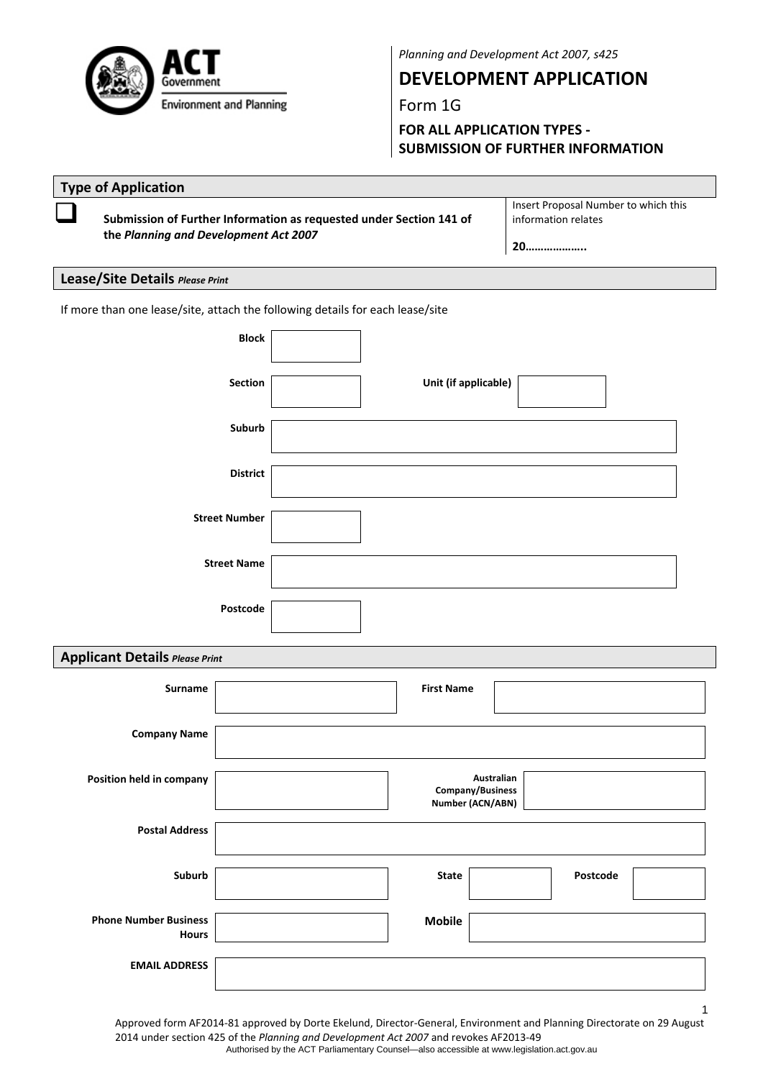

*Planning and Development Act 2007, s425*

**DEVELOPMENT APPLICATION**

Form 1G

**FOR ALL APPLICATION TYPES ‐ SUBMISSION OF FURTHER INFORMATION**

|                          | <b>Type of Application</b>                                                    |                                                                                                              |                      |  |                   |            |                                                                   |  |  |  |
|--------------------------|-------------------------------------------------------------------------------|--------------------------------------------------------------------------------------------------------------|----------------------|--|-------------------|------------|-------------------------------------------------------------------|--|--|--|
|                          |                                                                               | Submission of Further Information as requested under Section 141 of<br>the Planning and Development Act 2007 |                      |  |                   |            | Insert Proposal Number to which this<br>information relates<br>20 |  |  |  |
|                          | Lease/Site Details Please Print                                               |                                                                                                              |                      |  |                   |            |                                                                   |  |  |  |
|                          | If more than one lease/site, attach the following details for each lease/site |                                                                                                              |                      |  |                   |            |                                                                   |  |  |  |
|                          |                                                                               | <b>Block</b>                                                                                                 |                      |  |                   |            |                                                                   |  |  |  |
|                          |                                                                               |                                                                                                              |                      |  |                   |            |                                                                   |  |  |  |
| Section                  |                                                                               |                                                                                                              | Unit (if applicable) |  |                   |            |                                                                   |  |  |  |
|                          |                                                                               | Suburb                                                                                                       |                      |  |                   |            |                                                                   |  |  |  |
|                          |                                                                               |                                                                                                              |                      |  |                   |            |                                                                   |  |  |  |
|                          |                                                                               | <b>District</b>                                                                                              |                      |  |                   |            |                                                                   |  |  |  |
|                          |                                                                               |                                                                                                              |                      |  |                   |            |                                                                   |  |  |  |
|                          |                                                                               | <b>Street Number</b>                                                                                         |                      |  |                   |            |                                                                   |  |  |  |
| <b>Street Name</b>       |                                                                               |                                                                                                              |                      |  |                   |            |                                                                   |  |  |  |
|                          |                                                                               |                                                                                                              |                      |  |                   |            |                                                                   |  |  |  |
|                          |                                                                               | Postcode                                                                                                     |                      |  |                   |            |                                                                   |  |  |  |
|                          |                                                                               |                                                                                                              |                      |  |                   |            |                                                                   |  |  |  |
|                          | <b>Applicant Details Please Print</b>                                         |                                                                                                              |                      |  |                   |            |                                                                   |  |  |  |
|                          | Surname                                                                       |                                                                                                              |                      |  | <b>First Name</b> |            |                                                                   |  |  |  |
|                          | <b>Company Name</b>                                                           |                                                                                                              |                      |  |                   |            |                                                                   |  |  |  |
|                          |                                                                               |                                                                                                              |                      |  |                   |            |                                                                   |  |  |  |
| Position held in company |                                                                               |                                                                                                              |                      |  | Company/Business  | Australian |                                                                   |  |  |  |
|                          |                                                                               |                                                                                                              |                      |  | Number (ACN/ABN)  |            |                                                                   |  |  |  |
|                          | <b>Postal Address</b>                                                         |                                                                                                              |                      |  |                   |            |                                                                   |  |  |  |
|                          | Suburb                                                                        |                                                                                                              |                      |  | <b>State</b>      |            | Postcode                                                          |  |  |  |
|                          |                                                                               |                                                                                                              |                      |  |                   |            |                                                                   |  |  |  |
|                          | <b>Phone Number Business</b><br><b>Hours</b>                                  |                                                                                                              |                      |  | <b>Mobile</b>     |            |                                                                   |  |  |  |
|                          | <b>EMAIL ADDRESS</b>                                                          |                                                                                                              |                      |  |                   |            |                                                                   |  |  |  |
|                          |                                                                               |                                                                                                              |                      |  |                   |            |                                                                   |  |  |  |
|                          |                                                                               |                                                                                                              |                      |  |                   |            | $\mathbf{1}$                                                      |  |  |  |

Approved form AF2014‐81 approved by Dorte Ekelund, Director‐General, Environment and Planning Directorate on 29 August 2014 under section 425 of the *Planning and Development Act 2007* and revokes AF2013‐49 Authorised by the ACT Parliamentary Counsel—also accessible at www.legislation.act.gov.au